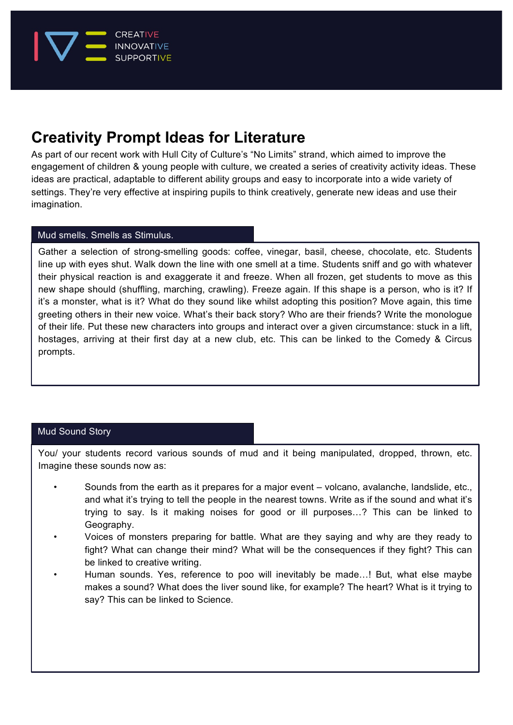

# **Creativity Prompt Ideas for Literature**

As part of our recent work with Hull City of Culture's "No Limits" strand, which aimed to improve the engagement of children & young people with culture, we created a series of creativity activity ideas. These ideas are practical, adaptable to different ability groups and easy to incorporate into a wide variety of settings. They're very effective at inspiring pupils to think creatively, generate new ideas and use their imagination.

# Mud smells. Smells as Stimulus.

Gather a selection of strong-smelling goods: coffee, vinegar, basil, cheese, chocolate, etc. Students line up with eyes shut. Walk down the line with one smell at a time. Students sniff and go with whatever their physical reaction is and exaggerate it and freeze. When all frozen, get students to move as this new shape should (shuffling, marching, crawling). Freeze again. If this shape is a person, who is it? If it's a monster, what is it? What do they sound like whilst adopting this position? Move again, this time greeting others in their new voice. What's their back story? Who are their friends? Write the monologue of their life. Put these new characters into groups and interact over a given circumstance: stuck in a lift, hostages, arriving at their first day at a new club, etc. This can be linked to the Comedy & Circus prompts.

# Mud Sound Story

You/ your students record various sounds of mud and it being manipulated, dropped, thrown, etc. Imagine these sounds now as:

- Sounds from the earth as it prepares for a major event volcano, avalanche, landslide, etc., and what it's trying to tell the people in the nearest towns. Write as if the sound and what it's trying to say. Is it making noises for good or ill purposes…? This can be linked to Geography.
- Voices of monsters preparing for battle. What are they saying and why are they ready to fight? What can change their mind? What will be the consequences if they fight? This can be linked to creative writing.
- Human sounds. Yes, reference to poo will inevitably be made…! But, what else maybe makes a sound? What does the liver sound like, for example? The heart? What is it trying to say? This can be linked to Science.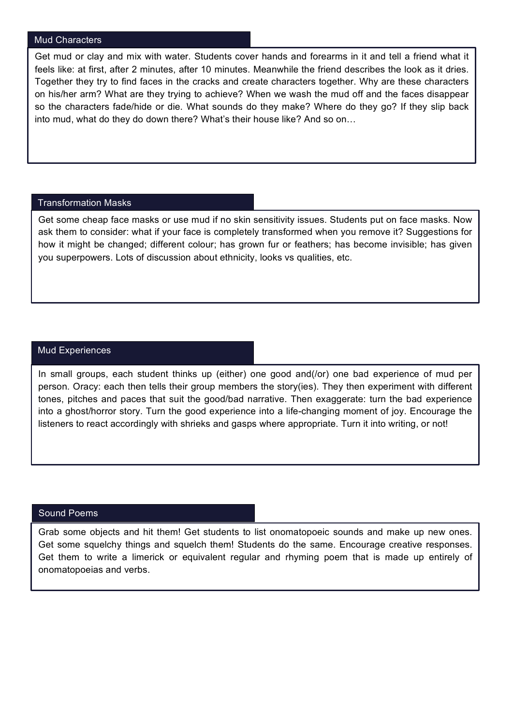#### Mud Characters

Get mud or clay and mix with water. Students cover hands and forearms in it and tell a friend what it feels like: at first, after 2 minutes, after 10 minutes. Meanwhile the friend describes the look as it dries. Together they try to find faces in the cracks and create characters together. Why are these characters on his/her arm? What are they trying to achieve? When we wash the mud off and the faces disappear so the characters fade/hide or die. What sounds do they make? Where do they go? If they slip back into mud, what do they do down there? What's their house like? And so on…

#### Transformation Masks

Get some cheap face masks or use mud if no skin sensitivity issues. Students put on face masks. Now ask them to consider: what if your face is completely transformed when you remove it? Suggestions for how it might be changed; different colour; has grown fur or feathers; has become invisible; has given you superpowers. Lots of discussion about ethnicity, looks vs qualities, etc.

#### Mud Experiences

In small groups, each student thinks up (either) one good and(/or) one bad experience of mud per person. Oracy: each then tells their group members the story(ies). They then experiment with different tones, pitches and paces that suit the good/bad narrative. Then exaggerate: turn the bad experience into a ghost/horror story. Turn the good experience into a life-changing moment of joy. Encourage the listeners to react accordingly with shrieks and gasps where appropriate. Turn it into writing, or not!

### Sound Poems

Grab some objects and hit them! Get students to list onomatopoeic sounds and make up new ones. Get some squelchy things and squelch them! Students do the same. Encourage creative responses. Get them to write a limerick or equivalent regular and rhyming poem that is made up entirely of onomatopoeias and verbs.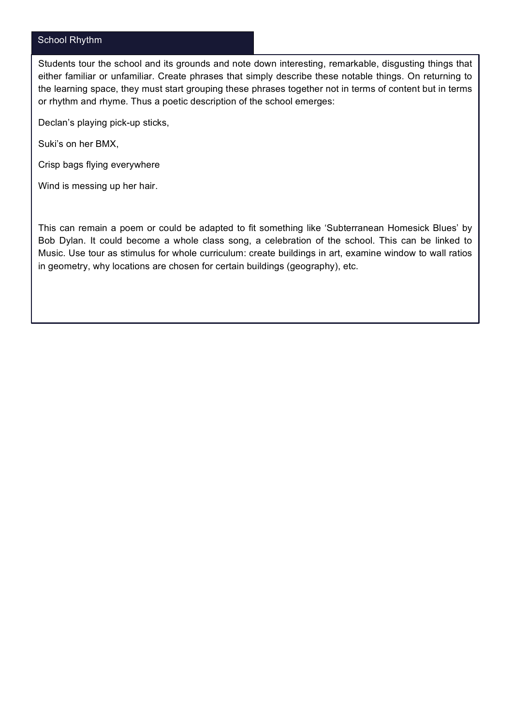# School Rhythm

Students tour the school and its grounds and note down interesting, remarkable, disgusting things that either familiar or unfamiliar. Create phrases that simply describe these notable things. On returning to the learning space, they must start grouping these phrases together not in terms of content but in terms or rhythm and rhyme. Thus a poetic description of the school emerges:

Declan's playing pick-up sticks,

Suki's on her BMX,

Crisp bags flying everywhere

Wind is messing up her hair.

This can remain a poem or could be adapted to fit something like 'Subterranean Homesick Blues' by Bob Dylan. It could become a whole class song, a celebration of the school. This can be linked to Music. Use tour as stimulus for whole curriculum: create buildings in art, examine window to wall ratios in geometry, why locations are chosen for certain buildings (geography), etc.